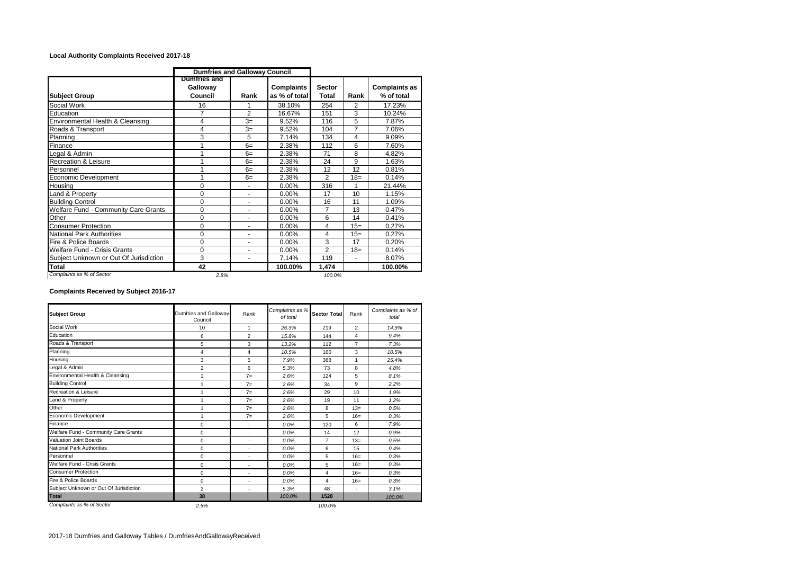## **Local Authority Complaints Received 2017-18**

|                                        | <b>Dumfries and Galloway Council</b> |                          |                                    |                        |                |                                    |
|----------------------------------------|--------------------------------------|--------------------------|------------------------------------|------------------------|----------------|------------------------------------|
| <b>Subject Group</b>                   | Dumtries and<br>Galloway<br>Council  | Rank                     | <b>Complaints</b><br>as % of total | <b>Sector</b><br>Total | Rank           | <b>Complaints as</b><br>% of total |
| Social Work                            | 16                                   |                          | 38.10%                             | 254                    | 2              | 17.23%                             |
| Education                              | $\overline{7}$                       | $\overline{2}$           | 16.67%                             | 151                    | 3              | 10.24%                             |
| Environmental Health & Cleansing       | 4                                    | $3=$                     | 9.52%                              | 116                    | 5              | 7.87%                              |
| Roads & Transport                      | 4                                    | $3=$                     | 9.52%                              | 104                    | 7              | 7.06%                              |
| Planning                               | 3                                    | 5                        | 7.14%                              | 134                    | 4              | 9.09%                              |
| Finance                                |                                      | $6=$                     | 2.38%                              | 112                    | 6              | 7.60%                              |
| Legal & Admin                          |                                      | $6=$                     | 2.38%                              | 71                     | 8              | 4.82%                              |
| <b>Recreation &amp; Leisure</b>        |                                      | $6=$                     | 2.38%                              | 24                     | 9              | 1.63%                              |
| Personnel                              |                                      | $6=$                     | 2.38%                              | 12                     | 12             | 0.81%                              |
| Economic Development                   | 4                                    | $6=$                     | 2.38%                              | 2                      | $18=$          | 0.14%                              |
| Housina                                | $\Omega$                             |                          | 0.00%                              | 316                    |                | 21.44%                             |
| Land & Property                        | $\Omega$                             |                          | 0.00%                              | 17                     | 10             | 1.15%                              |
| <b>Building Control</b>                | 0                                    |                          | 0.00%                              | 16                     | 11             | 1.09%                              |
| Welfare Fund - Community Care Grants   | $\Omega$                             |                          | $0.00\%$                           | $\overline{7}$         | 13             | 0.47%                              |
| Other                                  | $\Omega$                             | $\blacksquare$           | 0.00%                              | 6                      | 14             | 0.41%                              |
| <b>Consumer Protection</b>             | 0                                    | ٠                        | 0.00%                              | 4                      | $15=$          | 0.27%                              |
| National Park Authorities              | 0                                    |                          | 0.00%                              | 4                      | $15=$          | 0.27%                              |
| Fire & Police Boards                   | 0                                    | $\overline{\phantom{a}}$ | 0.00%                              | 3                      | 17             | 0.20%                              |
| Welfare Fund - Crisis Grants           | $\Omega$                             | ۰                        | $0.00\%$                           | $\overline{2}$         | $18 =$         | 0.14%                              |
| Subject Unknown or Out Of Jurisdiction | 3                                    | $\blacksquare$           | 7.14%                              | 119                    | $\blacksquare$ | 8.07%                              |
| <b>Total</b>                           | 42                                   |                          | 100.00%                            | 1.474                  |                | 100.00%                            |
| Complaints as % of Sector              | 2.8%                                 |                          |                                    | 100.0%                 |                |                                    |

## **Complaints Received by Subject 2016-17**

| <b>Subject Group</b>                   | Dumfries and Gallowav<br>Council | Rank                     | Complaints as %<br>of total | <b>Sector Total</b> | Rank           | Complaints as % of<br>total |  |
|----------------------------------------|----------------------------------|--------------------------|-----------------------------|---------------------|----------------|-----------------------------|--|
| Social Work                            | 10                               | 1                        | 26.3%                       | 219                 | $\overline{2}$ | 14.3%                       |  |
| Education                              | 6                                | $\overline{2}$           | 15.8%                       | 144                 | 4              | 9.4%                        |  |
| Roads & Transport                      | 5                                | 3                        | 13.2%                       | 112                 | $\overline{7}$ | 7.3%                        |  |
| Planning                               | 4                                | 4                        | 10.5%                       | 160                 | 3              | 10.5%                       |  |
| Housing                                | 3<br>5                           |                          | 7.9%                        | 388<br>1            |                | 25.4%                       |  |
| Legal & Admin                          | $\overline{2}$                   | 6                        | 5.3%                        | 73                  | 8              | 4.8%                        |  |
| Environmental Health & Cleansing       | 1                                | $7=$                     | 2.6%                        | 124                 | 5              | 8.1%                        |  |
| <b>Building Control</b>                | 1                                | $7=$                     | 2.6%                        | 34                  | 9              | 2.2%                        |  |
| Recreation & Leisure                   | 1                                | $7=$                     | 2.6%                        | 29                  | 10             | 1.9%                        |  |
| Land & Property                        | 1                                | $7=$                     | 2.6%                        | 19                  | 11             | 1.2%                        |  |
| Other                                  | 1                                | $7=$                     | 2.6%                        | 8                   | $13=$          | 0.5%                        |  |
| Economic Development                   | 1                                | $7=$                     | 2.6%                        | 5                   | $16=$          | 0.3%                        |  |
| Finance                                | $\Omega$                         | ٠                        | 0.0%                        | 120                 | 6              | 7.9%                        |  |
| Welfare Fund - Community Care Grants   | $\Omega$                         | ٠                        | 0.0%                        | 14                  | 12             | 0.9%                        |  |
| Valuation Joint Boards                 | $\mathbf 0$                      | $\overline{\phantom{a}}$ | 0.0%                        | $\overline{7}$      | $13=$          | 0.5%                        |  |
| <b>National Park Authorities</b>       | $\mathbf 0$                      | ٠                        | 0.0%                        | 6                   | 15             | 0.4%                        |  |
| Personnel                              | $\mathbf 0$                      | ٠                        | 0.0%                        | 5                   | $16=$          | 0.3%                        |  |
| Welfare Fund - Crisis Grants           | $\mathbf 0$                      | ٠                        | 0.0%                        | 5                   | $16=$          | 0.3%                        |  |
| <b>Consumer Protection</b>             | $\Omega$                         | ٠                        | 0.0%                        | 4                   | $16=$          | 0.3%                        |  |
| Fire & Police Boards                   | $\Omega$                         | ٠                        | 0.0%                        | 4                   | $16=$          | 0.3%                        |  |
| Subject Unknown or Out Of Jurisdiction | $\overline{2}$                   | ٠                        | 5.3%                        | 48                  | ٠              | 3.1%                        |  |
| <b>Total</b>                           | 38                               |                          | 100.0%                      | 1528                |                | 100.0%                      |  |
| Complaints as % of Sector              | 2.5%                             |                          |                             | 100.0%              |                |                             |  |